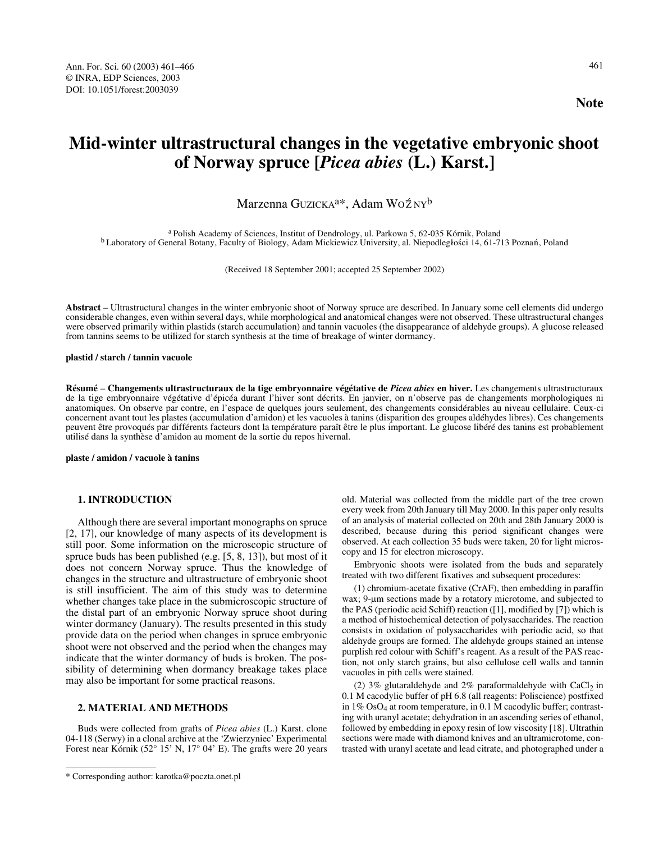# **Mid-winter ultrastructural changes in the vegetative embryonic shoot of Norway spruce [***Picea abies* **(L.) Karst.]**

Marzenna Guzicka<sup>a</sup>\*, Adam Woźny<sup>b</sup>

<sup>a</sup> Polish Academy of Sciences, Institut of Dendrology, ul. Parkowa 5, 62-035 Kórnik, Poland<br><sup>b</sup> Laboratory of General Botany, Faculty of Biology, Adam Mickiewicz University, al. Niepodległości 14, 61-713 Poznań, Poland

(Received 18 September 2001; accepted 25 September 2002)

**Abstract** – Ultrastructural changes in the winter embryonic shoot of Norway spruce are described. In January some cell elements did undergo considerable changes, even within several days, while morphological and anatomical changes were not observed. These ultrastructural changes were observed primarily within plastids (starch accumulation) and tannin vacuoles (the disappearance of aldehyde groups). A glucose released from tannins seems to be utilized for starch synthesis at the time of breakage of winter dormancy.

#### **plastid / starch / tannin vacuole**

**Résumé** – **Changements ultrastructuraux de la tige embryonnaire végétative de** *Picea abies* **en hiver.** Les changements ultrastructuraux de la tige embryonnaire végétative d'épicéa durant l'hiver sont décrits. En janvier, on n'observe pas de changements morphologiques ni anatomiques. On observe par contre, en l'espace de quelques jours seulement, des changements considérables au niveau cellulaire. Ceux-ci concernent avant tout les plastes (accumulation d'amidon) et les vacuoles à tanins (disparition des groupes aldéhydes libres). Ces changements peuvent être provoqués par différents facteurs dont la température paraît être le plus important. Le glucose libéré des tanins est probablement utilisé dans la synthèse d'amidon au moment de la sortie du repos hivernal.

**plaste / amidon / vacuole à tanins**

## **1. INTRODUCTION**

Although there are several important monographs on spruce [2, 17], our knowledge of many aspects of its development is still poor. Some information on the microscopic structure of spruce buds has been published (e.g. [5, 8, 13]), but most of it does not concern Norway spruce. Thus the knowledge of changes in the structure and ultrastructure of embryonic shoot is still insufficient. The aim of this study was to determine whether changes take place in the submicroscopic structure of the distal part of an embryonic Norway spruce shoot during winter dormancy (January). The results presented in this study provide data on the period when changes in spruce embryonic shoot were not observed and the period when the changes may indicate that the winter dormancy of buds is broken. The possibility of determining when dormancy breakage takes place may also be important for some practical reasons.

## **2. MATERIAL AND METHODS**

Buds were collected from grafts of *Picea abies* (L.) Karst. clone 04-118 (Serwy) in a clonal archive at the 'Zwierzyniec' Experimental Forest near Kórnik (52° 15' N, 17° 04' E). The grafts were 20 years old. Material was collected from the middle part of the tree crown every week from 20th January till May 2000. In this paper only results of an analysis of material collected on 20th and 28th January 2000 is described, because during this period significant changes were observed. At each collection 35 buds were taken, 20 for light microscopy and 15 for electron microscopy.

Embryonic shoots were isolated from the buds and separately treated with two different fixatives and subsequent procedures:

(1) chromium-acetate fixative (CrAF), then embedding in paraffin wax; 9-µm sections made by a rotatory microtome, and subjected to the PAS (periodic acid Schiff) reaction ([1], modified by [7]) which is a method of histochemical detection of polysaccharides. The reaction consists in oxidation of polysaccharides with periodic acid, so that aldehyde groups are formed. The aldehyde groups stained an intense purplish red colour with Schiff's reagent. As a result of the PAS reaction, not only starch grains, but also cellulose cell walls and tannin vacuoles in pith cells were stained.

(2) 3% glutaraldehyde and 2% paraformaldehyde with  $CaCl<sub>2</sub>$  in 0.1 M cacodylic buffer of pH 6.8 (all reagents: Poliscience) postfixed in  $1\%$  OsO<sub>4</sub> at room temperature, in 0.1 M cacodylic buffer; contrasting with uranyl acetate; dehydration in an ascending series of ethanol, followed by embedding in epoxy resin of low viscosity [18]. Ultrathin sections were made with diamond knives and an ultramicrotome, contrasted with uranyl acetate and lead citrate, and photographed under a

<sup>\*</sup> Corresponding author: karotka@poczta.onet.pl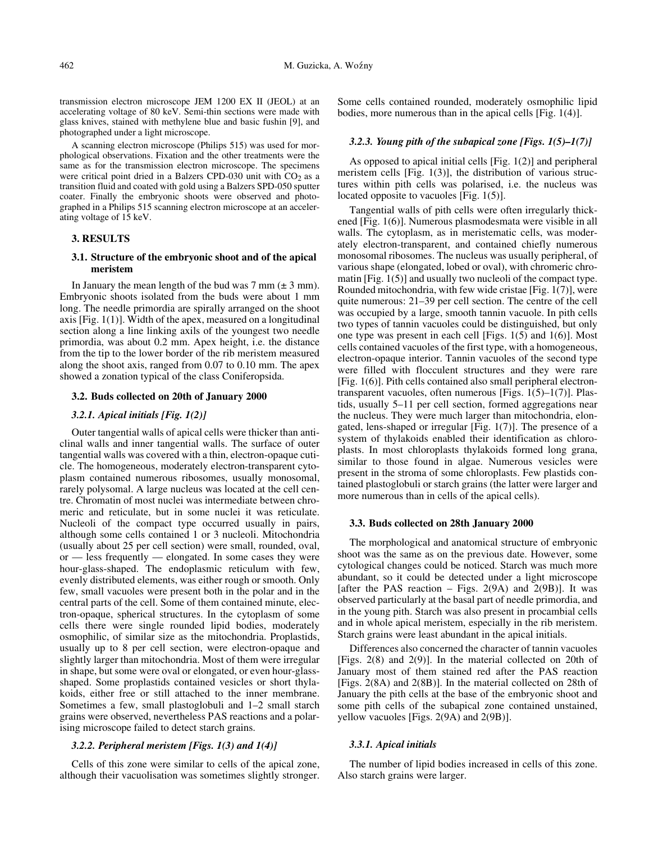transmission electron microscope JEM 1200 EX II (JEOL) at an accelerating voltage of 80 keV. Semi-thin sections were made with glass knives, stained with methylene blue and basic fushin [9], and photographed under a light microscope.

A scanning electron microscope (Philips 515) was used for morphological observations. Fixation and the other treatments were the same as for the transmission electron microscope. The specimens were critical point dried in a Balzers CPD-030 unit with  $CO<sub>2</sub>$  as a transition fluid and coated with gold using a Balzers SPD-050 sputter coater. Finally the embryonic shoots were observed and photographed in a Philips 515 scanning electron microscope at an accelerating voltage of 15 keV.

## **3. RESULTS**

## **3.1. Structure of the embryonic shoot and of the apical meristem**

In January the mean length of the bud was  $7 \text{ mm} (\pm 3 \text{ mm})$ . Embryonic shoots isolated from the buds were about 1 mm long. The needle primordia are spirally arranged on the shoot axis [Fig. 1(1)]. Width of the apex, measured on a longitudinal section along a line linking axils of the youngest two needle primordia, was about 0.2 mm. Apex height, i.e. the distance from the tip to the lower border of the rib meristem measured along the shoot axis, ranged from 0.07 to 0.10 mm. The apex showed a zonation typical of the class Coniferopsida.

#### **3.2. Buds collected on 20th of January 2000**

### *3.2.1. Apical initials [Fig. 1(2)]*

Outer tangential walls of apical cells were thicker than anticlinal walls and inner tangential walls. The surface of outer tangential walls was covered with a thin, electron-opaque cuticle. The homogeneous, moderately electron-transparent cytoplasm contained numerous ribosomes, usually monosomal, rarely polysomal. A large nucleus was located at the cell centre. Chromatin of most nuclei was intermediate between chromeric and reticulate, but in some nuclei it was reticulate. Nucleoli of the compact type occurred usually in pairs, although some cells contained 1 or 3 nucleoli. Mitochondria (usually about 25 per cell section) were small, rounded, oval, or — less frequently — elongated. In some cases they were hour-glass-shaped. The endoplasmic reticulum with few, evenly distributed elements, was either rough or smooth. Only few, small vacuoles were present both in the polar and in the central parts of the cell. Some of them contained minute, electron-opaque, spherical structures. In the cytoplasm of some cells there were single rounded lipid bodies, moderately osmophilic, of similar size as the mitochondria. Proplastids, usually up to 8 per cell section, were electron-opaque and slightly larger than mitochondria. Most of them were irregular in shape, but some were oval or elongated, or even hour-glassshaped. Some proplastids contained vesicles or short thylakoids, either free or still attached to the inner membrane. Sometimes a few, small plastoglobuli and 1–2 small starch grains were observed, nevertheless PAS reactions and a polarising microscope failed to detect starch grains.

## *3.2.2. Peripheral meristem [Figs. 1(3) and 1(4)]*

Cells of this zone were similar to cells of the apical zone, although their vacuolisation was sometimes slightly stronger.

Some cells contained rounded, moderately osmophilic lipid bodies, more numerous than in the apical cells [Fig. 1(4)].

#### *3.2.3. Young pith of the subapical zone [Figs. 1(5)–1(7)]*

As opposed to apical initial cells [Fig. 1(2)] and peripheral meristem cells [Fig. 1(3)], the distribution of various structures within pith cells was polarised, i.e. the nucleus was located opposite to vacuoles [Fig. 1(5)].

Tangential walls of pith cells were often irregularly thickened [Fig. 1(6)]. Numerous plasmodesmata were visible in all walls. The cytoplasm, as in meristematic cells, was moderately electron-transparent, and contained chiefly numerous monosomal ribosomes. The nucleus was usually peripheral, of various shape (elongated, lobed or oval), with chromeric chromatin [Fig. 1(5)] and usually two nucleoli of the compact type. Rounded mitochondria, with few wide cristae [Fig. 1(7)], were quite numerous: 21–39 per cell section. The centre of the cell was occupied by a large, smooth tannin vacuole. In pith cells two types of tannin vacuoles could be distinguished, but only one type was present in each cell [Figs. 1(5) and 1(6)]. Most cells contained vacuoles of the first type, with a homogeneous, electron-opaque interior. Tannin vacuoles of the second type were filled with flocculent structures and they were rare [Fig. 1(6)]. Pith cells contained also small peripheral electrontransparent vacuoles, often numerous [Figs. 1(5)–1(7)]. Plastids, usually 5–11 per cell section, formed aggregations near the nucleus. They were much larger than mitochondria, elongated, lens-shaped or irregular [Fig. 1(7)]. The presence of a system of thylakoids enabled their identification as chloroplasts. In most chloroplasts thylakoids formed long grana, similar to those found in algae. Numerous vesicles were present in the stroma of some chloroplasts. Few plastids contained plastoglobuli or starch grains (the latter were larger and more numerous than in cells of the apical cells).

#### **3.3. Buds collected on 28th January 2000**

The morphological and anatomical structure of embryonic shoot was the same as on the previous date. However, some cytological changes could be noticed. Starch was much more abundant, so it could be detected under a light microscope [after the PAS reaction – Figs.  $2(9A)$  and  $2(9B)$ ]. It was observed particularly at the basal part of needle primordia, and in the young pith. Starch was also present in procambial cells and in whole apical meristem, especially in the rib meristem. Starch grains were least abundant in the apical initials.

Differences also concerned the character of tannin vacuoles [Figs. 2(8) and 2(9)]. In the material collected on 20th of January most of them stained red after the PAS reaction [Figs. 2(8A) and 2(8B)]. In the material collected on 28th of January the pith cells at the base of the embryonic shoot and some pith cells of the subapical zone contained unstained, yellow vacuoles [Figs. 2(9A) and 2(9B)].

#### *3.3.1. Apical initials*

The number of lipid bodies increased in cells of this zone. Also starch grains were larger.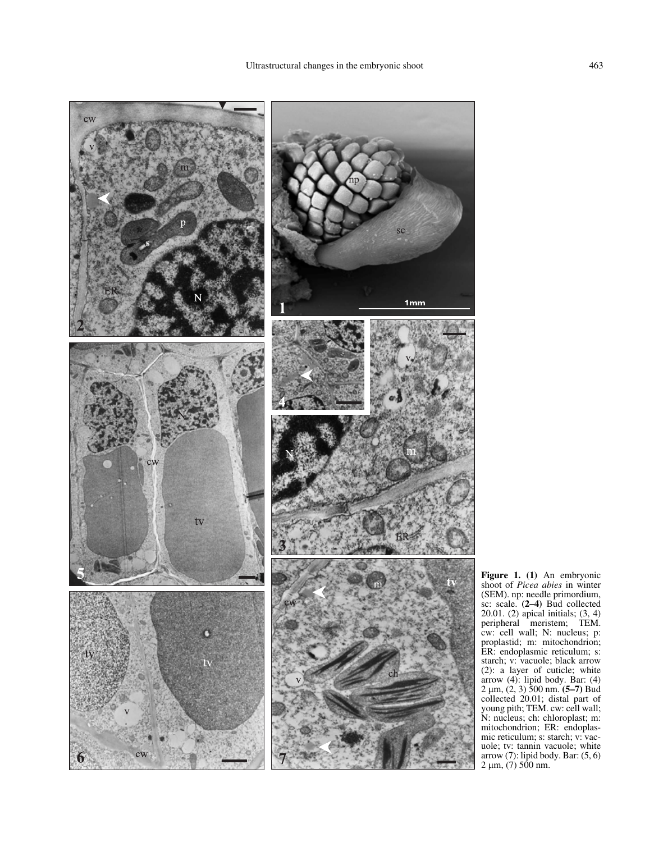

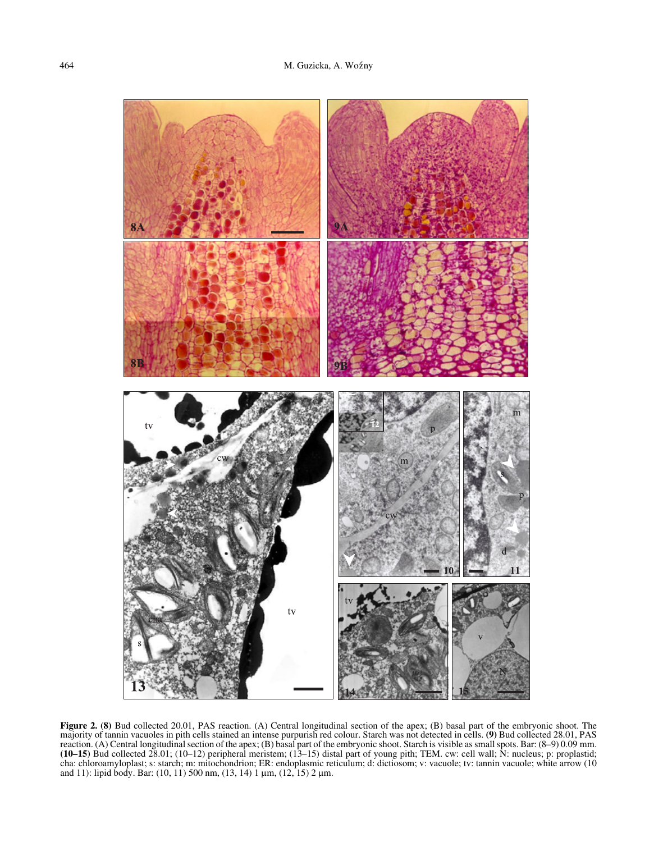

**Figure 2. (8)** Bud collected 20.01, PAS reaction. (A) Central longitudinal section of the apex; (B) basal part of the embryonic shoot. The majority of tannin vacuoles in pith cells stained an intense purpurish red colour. Starch was not detected in cells. **(9)** Bud collected 28.01, PAS reaction. (A) Central longitudinal section of the apex; (B) basal part of the embryonic shoot. Starch is visible as small spots. Bar: (8–9) 0.09 mm. **(10–15)** Bud collected 28.01; (10–12) peripheral meristem; (13–15) distal part of young pith; TEM. cw: cell wall; N: nucleus; p: proplastid; cha: chloroamyloplast; s: starch; m: mitochondrion; ER: endoplasmic reticulum; d: dictiosom; v: vacuole; tv: tannin vacuole; white arrow (10 and 11): lipid body. Bar: (10, 11) 500 nm, (13, 14) 1 µm, (12, 15) 2 µm.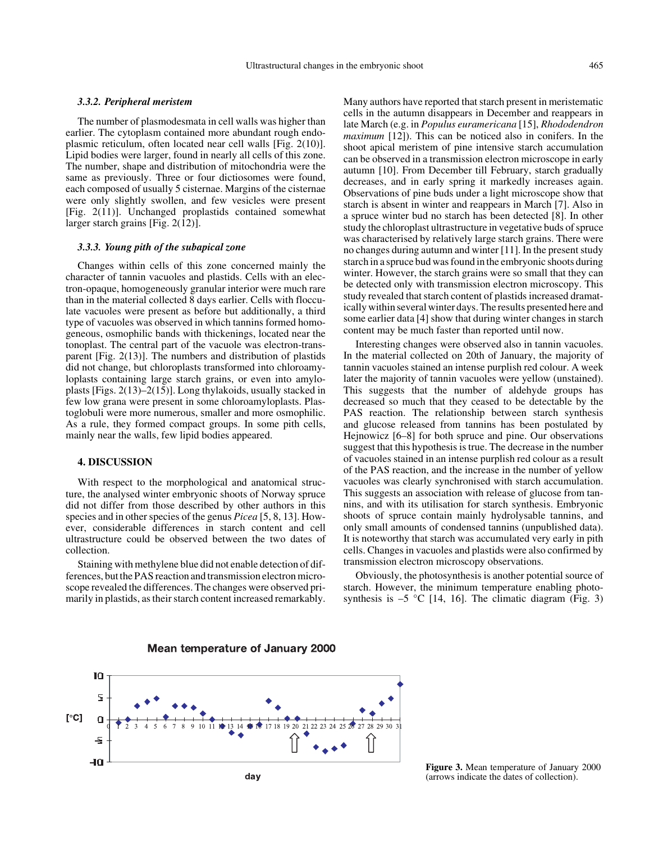### *3.3.2. Peripheral meristem*

The number of plasmodesmata in cell walls was higher than earlier. The cytoplasm contained more abundant rough endoplasmic reticulum, often located near cell walls [Fig. 2(10)]. Lipid bodies were larger, found in nearly all cells of this zone. The number, shape and distribution of mitochondria were the same as previously. Three or four dictiosomes were found, each composed of usually 5 cisternae. Margins of the cisternae were only slightly swollen, and few vesicles were present [Fig. 2(11)]. Unchanged proplastids contained somewhat larger starch grains [Fig. 2(12)].

#### *3.3.3. Young pith of the subapical zone*

Changes within cells of this zone concerned mainly the character of tannin vacuoles and plastids. Cells with an electron-opaque, homogeneously granular interior were much rare than in the material collected 8 days earlier. Cells with flocculate vacuoles were present as before but additionally, a third type of vacuoles was observed in which tannins formed homogeneous, osmophilic bands with thickenings, located near the tonoplast. The central part of the vacuole was electron-transparent [Fig. 2(13)]. The numbers and distribution of plastids did not change, but chloroplasts transformed into chloroamyloplasts containing large starch grains, or even into amyloplasts [Figs. 2(13)–2(15)]. Long thylakoids, usually stacked in few low grana were present in some chloroamyloplasts. Plastoglobuli were more numerous, smaller and more osmophilic. As a rule, they formed compact groups. In some pith cells, mainly near the walls, few lipid bodies appeared.

### **4. DISCUSSION**

With respect to the morphological and anatomical structure, the analysed winter embryonic shoots of Norway spruce did not differ from those described by other authors in this species and in other species of the genus *Picea* [5, 8, 13]. However, considerable differences in starch content and cell ultrastructure could be observed between the two dates of collection.

Staining with methylene blue did not enable detection of differences, but the PAS reaction and transmission electron microscope revealed the differences. The changes were observed primarily in plastids, as their starch content increased remarkably. Many authors have reported that starch present in meristematic cells in the autumn disappears in December and reappears in late March (e.g. in *Populus euramericana* [15], *Rhododendron maximum* [12]). This can be noticed also in conifers. In the shoot apical meristem of pine intensive starch accumulation can be observed in a transmission electron microscope in early autumn [10]. From December till February, starch gradually decreases, and in early spring it markedly increases again. Observations of pine buds under a light microscope show that starch is absent in winter and reappears in March [7]. Also in a spruce winter bud no starch has been detected [8]. In other study the chloroplast ultrastructure in vegetative buds of spruce was characterised by relatively large starch grains. There were no changes during autumn and winter [11]. In the present study starch in a spruce bud was found in the embryonic shoots during winter. However, the starch grains were so small that they can be detected only with transmission electron microscopy. This study revealed that starch content of plastids increased dramatically within several winter days. The results presented here and some earlier data [4] show that during winter changes in starch content may be much faster than reported until now.

Interesting changes were observed also in tannin vacuoles. In the material collected on 20th of January, the majority of tannin vacuoles stained an intense purplish red colour. A week later the majority of tannin vacuoles were yellow (unstained). This suggests that the number of aldehyde groups has decreased so much that they ceased to be detectable by the PAS reaction. The relationship between starch synthesis and glucose released from tannins has been postulated by Hejnowicz [6–8] for both spruce and pine. Our observations suggest that this hypothesis is true. The decrease in the number of vacuoles stained in an intense purplish red colour as a result of the PAS reaction, and the increase in the number of yellow vacuoles was clearly synchronised with starch accumulation. This suggests an association with release of glucose from tannins, and with its utilisation for starch synthesis. Embryonic shoots of spruce contain mainly hydrolysable tannins, and only small amounts of condensed tannins (unpublished data). It is noteworthy that starch was accumulated very early in pith cells. Changes in vacuoles and plastids were also confirmed by transmission electron microscopy observations.

Obviously, the photosynthesis is another potential source of starch. However, the minimum temperature enabling photosynthesis is  $-5$  °C [14, 16]. The climatic diagram (Fig. 3)



Mean temperature of January 2000

**Figure 3.** Mean temperature of January 2000 (arrows indicate the dates of collection).